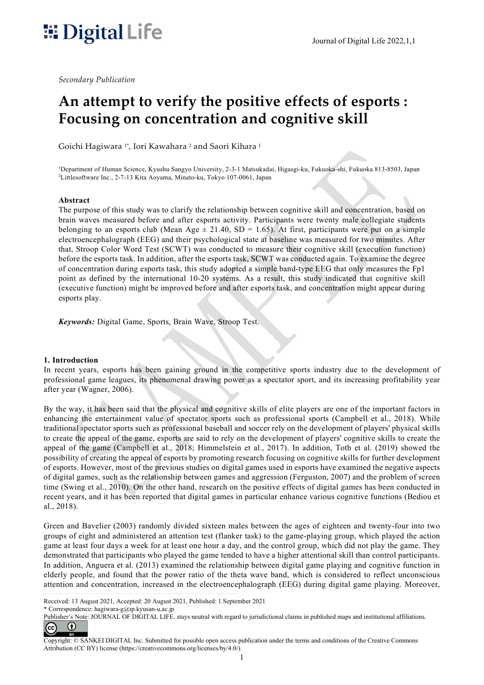# $\blacksquare$  Digital Life  $\blacksquare$

Secondary Publication

# An attempt to verify the positive effects of esports : Focusing on concentration and cognitive skill

Goichi Hagiwara <sup>1</sup>\*, Iori Kawahara <sup>2</sup> and Saori Kihara <sup>1</sup>

<sup>1</sup>Department of Human Science, Kyushu Sangyo University, 2-3-1 Matsukadai, Higasgi-ku, Fukuoka-shi, Fukuoka 813-8503, Japan <sup>2</sup>Littlesoftware Inc., 2-7-13 Kita Aoyama, Minato-ku, Tokyo 107-0061, Japan

#### Abstract

The purpose of this study was to clarify the relationship between cognitive skill and concentration, based on brain waves measured before and after esports activity. Participants were twenty male collegiate students belonging to an esports club (Mean Age  $\pm$  21.40, SD = 1.65). At first, participants were put on a simple electroencephalograph (EEG) and their psychological state at baseline was measured for two minutes. After that, Stroop Color Word Test (SCWT) was conducted to measure their cognitive skill (execution function) before the esports task. In addition, after the esports task, SCWT was conducted again. To examine the degree of concentration during esports task, this study adopted a simple band-type EEG that only measures the Fp1 point as defined by the international 10-20 systems. As a result, this study indicated that cognitive skill (executive function) might be improved before and after esports task, and concentration might appear during esports play.

Keywords: Digital Game, Sports, Brain Wave, Stroop Test.

#### 1. Introduction

In recent years, esports has been gaining ground in the competitive sports industry due to the development of professional game leagues, its phenomenal drawing power as a spectator sport, and its increasing profitability year after year (Wagner, 2006).

By the way, it has been said that the physical and cognitive skills of elite players are one of the important factors in enhancing the entertainment value of spectator sports such as professional sports (Campbell et al., 2018). While traditional spectator sports such as professional baseball and soccer rely on the development of players' physical skills to create the appeal of the game, esports are said to rely on the development of players' cognitive skills to create the appeal of the game (Campbell et al., 2018; Himmelstein et al., 2017). In addition, Toth et al. (2019) showed the possibility of creating the appeal of esports by promoting research focusing on cognitive skills for further development of esports. However, most of the previous studies on digital games used in esports have examined the negative aspects of digital games, such as the relationship between games and aggression (Ferguston, 2007) and the problem of screen time (Swing et al., 2010). On the other hand, research on the positive effects of digital games has been conducted in recent years, and it has been reported that digital games in particular enhance various cognitive functions (Bediou et al., 2018).

Green and Bavelier (2003) randomly divided sixteen males between the ages of eighteen and twenty-four into two groups of eight and administered an attention test (flanker task) to the game-playing group, which played the action game at least four days a week for at least one hour a day, and the control group, which did not play the game. They demonstrated that participants who played the game tended to have a higher attentional skill than control participants. In addition, Anguera et al. (2013) examined the relationship between digital game playing and cognitive function in elderly people, and found that the power ratio of the theta wave band, which is considered to reflect unconscious attention and concentration, increased in the electroencephalograph (EEG) during digital game playing. Moreover,

\* Correspondence: hagiwara-g@ip.kyusan-u.ac.jp

Received: 13 August 2021, Accepted: 20 August 2021, Published: 1 September 2021

Publisher's Note: JOURNAL OF DIGITAL LIFE. stays neutral with regard to jurisdictional claims in published maps and institutional affiliations.  $\bf 0$ (cc)

Copyright: © SANKEI DIGITAL Inc. Submitted for possible open access publication under the terms and conditions of the Creative Commons Attribution (CC BY) license (https://creativecommons.org/licenses/by/4.0/).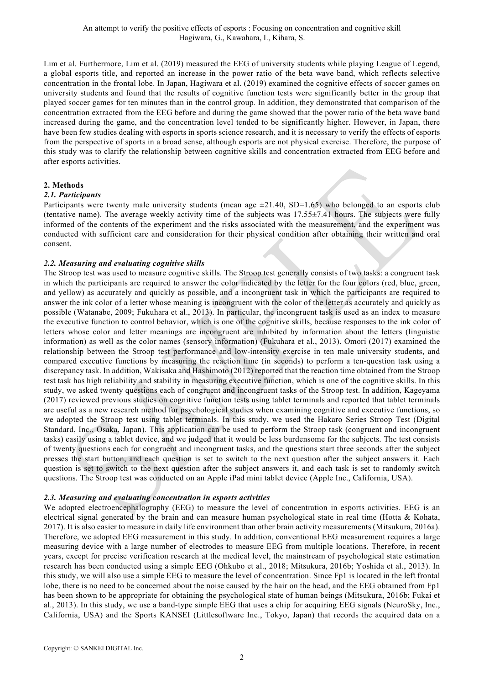Lim et al. Furthermore, Lim et al. (2019) measured the EEG of university students while playing League of Legend, a global esports title, and reported an increase in the power ratio of the beta wave band, which reflects selective concentration in the frontal lobe. In Japan, Hagiwara et al. (2019) examined the cognitive effects of soccer games on university students and found that the results of cognitive function tests were significantly better in the group that played soccer games for ten minutes than in the control group. In addition, they demonstrated that comparison of the concentration extracted from the EEG before and during the game showed that the power ratio of the beta wave band increased during the game, and the concentration level tended to be significantly higher. However, in Japan, there have been few studies dealing with esports in sports science research, and it is necessary to verify the effects of esports from the perspective of sports in a broad sense, although esports are not physical exercise. Therefore, the purpose of this study was to clarify the relationship between cognitive skills and concentration extracted from EEG before and after esports activities.

# 2. Methods

# 2.1. Participants

Participants were twenty male university students (mean age  $\pm 21.40$ , SD=1.65) who belonged to an esports club (tentative name). The average weekly activity time of the subjects was 17.55±7.41 hours. The subjects were fully informed of the contents of the experiment and the risks associated with the measurement, and the experiment was conducted with sufficient care and consideration for their physical condition after obtaining their written and oral consent.

# 2.2. Measuring and evaluating cognitive skills

The Stroop test was used to measure cognitive skills. The Stroop test generally consists of two tasks: a congruent task in which the participants are required to answer the color indicated by the letter for the four colors (red, blue, green, and yellow) as accurately and quickly as possible, and a incongruent task in which the participants are required to answer the ink color of a letter whose meaning is incongruent with the color of the letter as accurately and quickly as possible (Watanabe, 2009; Fukuhara et al., 2013). In particular, the incongruent task is used as an index to measure the executive function to control behavior, which is one of the cognitive skills, because responses to the ink color of letters whose color and letter meanings are incongruent are inhibited by information about the letters (linguistic information) as well as the color names (sensory information) (Fukuhara et al., 2013). Omori (2017) examined the relationship between the Stroop test performance and low-intensity exercise in ten male university students, and compared executive functions by measuring the reaction time (in seconds) to perform a ten-question task using a discrepancy task. In addition, Wakisaka and Hashimoto (2012) reported that the reaction time obtained from the Stroop test task has high reliability and stability in measuring executive function, which is one of the cognitive skills. In this study, we asked twenty questions each of congruent and incongruent tasks of the Stroop test. In addition, Kageyama (2017) reviewed previous studies on cognitive function tests using tablet terminals and reported that tablet terminals are useful as a new research method for psychological studies when examining cognitive and executive functions, so we adopted the Stroop test using tablet terminals. In this study, we used the Hakaro Series Stroop Test (Digital Standard, Inc., Osaka, Japan). This application can be used to perform the Stroop task (congruent and incongruent tasks) easily using a tablet device, and we judged that it would be less burdensome for the subjects. The test consists of twenty questions each for congruent and incongruent tasks, and the questions start three seconds after the subject presses the start button, and each question is set to switch to the next question after the subject answers it. Each question is set to switch to the next question after the subject answers it, and each task is set to randomly switch questions. The Stroop test was conducted on an Apple iPad mini tablet device (Apple Inc., California, USA).

#### 2.3. Measuring and evaluating concentration in esports activities

We adopted electroencephalography (EEG) to measure the level of concentration in esports activities. EEG is an electrical signal generated by the brain and can measure human psychological state in real time (Hotta & Kohata, 2017). It is also easier to measure in daily life environment than other brain activity measurements (Mitsukura, 2016a). Therefore, we adopted EEG measurement in this study. In addition, conventional EEG measurement requires a large measuring device with a large number of electrodes to measure EEG from multiple locations. Therefore, in recent years, except for precise verification research at the medical level, the mainstream of psychological state estimation research has been conducted using a simple EEG (Ohkubo et al., 2018; Mitsukura, 2016b; Yoshida et al., 2013). In this study, we will also use a simple EEG to measure the level of concentration. Since Fp1 is located in the left frontal lobe, there is no need to be concerned about the noise caused by the hair on the head, and the EEG obtained from Fp1 has been shown to be appropriate for obtaining the psychological state of human beings (Mitsukura, 2016b; Fukai et al., 2013). In this study, we use a band-type simple EEG that uses a chip for acquiring EEG signals (NeuroSky, Inc., California, USA) and the Sports KANSEI (Littlesoftware Inc., Tokyo, Japan) that records the acquired data on a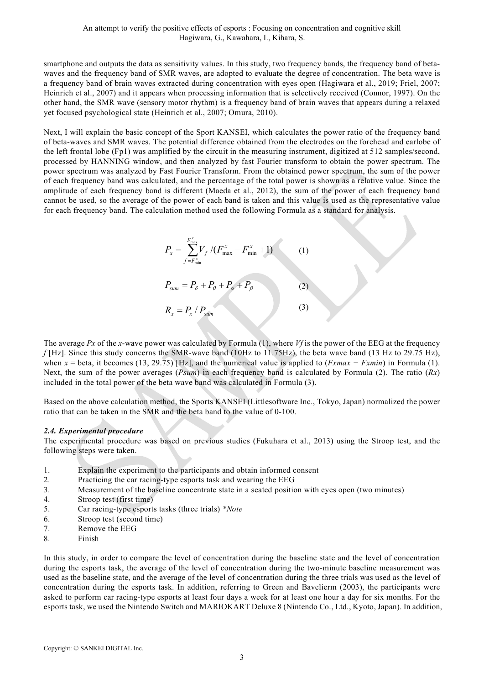smartphone and outputs the data as sensitivity values. In this study, two frequency bands, the frequency band of betawaves and the frequency band of SMR waves, are adopted to evaluate the degree of concentration. The beta wave is a frequency band of brain waves extracted during concentration with eyes open (Hagiwara et al., 2019; Friel, 2007; Heinrich et al., 2007) and it appears when processing information that is selectively received (Connor, 1997). On the other hand, the SMR wave (sensory motor rhythm) is a frequency band of brain waves that appears during a relaxed yet focused psychological state (Heinrich et al., 2007; Omura, 2010).

Next, I will explain the basic concept of the Sport KANSEI, which calculates the power ratio of the frequency band of beta-waves and SMR waves. The potential difference obtained from the electrodes on the forehead and earlobe of the left frontal lobe (Fp1) was amplified by the circuit in the measuring instrument, digitized at 512 samples/second, processed by HANNING window, and then analyzed by fast Fourier transform to obtain the power spectrum. The power spectrum was analyzed by Fast Fourier Transform. From the obtained power spectrum, the sum of the power of each frequency band was calculated, and the percentage of the total power is shown as a relative value. Since the amplitude of each frequency band is different (Maeda et al., 2012), the sum of the power of each frequency band cannot be used, so the average of the power of each band is taken and this value is used as the representative value for each frequency band. The calculation method used the following Formula as a standard for analysis.

$$
P_{x} = \sum_{f=F_{\min}^{x}}^{F_{\max}^{x}} V_{f} / (F_{\max}^{x} - F_{\min}^{x} + 1)
$$
 (1)  

$$
P_{sum} = P_{\delta} + P_{\theta} + P_{\alpha} + P_{\beta}
$$
 (2)  

$$
R_{x} = P_{x} / P_{\text{sum}}
$$
 (3)

The average Px of the x-wave power was calculated by Formula  $(1)$ , where Vf is the power of the EEG at the frequency  $f$ [Hz]. Since this study concerns the SMR-wave band (10Hz to 11.75Hz), the beta wave band (13 Hz to 29.75 Hz), when x = beta, it becomes (13, 29.75) [Hz], and the numerical value is applied to ( $Fxmax - Fxmin$ ) in Formula (1). Next, the sum of the power averages (*Psum*) in each frequency band is calculated by Formula (2). The ratio  $(Rx)$ included in the total power of the beta wave band was calculated in Formula (3).

Based on the above calculation method, the Sports KANSEI (Littlesoftware Inc., Tokyo, Japan) normalized the power ratio that can be taken in the SMR and the beta band to the value of 0-100.

#### 2.4. Experimental procedure

The experimental procedure was based on previous studies (Fukuhara et al., 2013) using the Stroop test, and the following steps were taken.

- 1. Explain the experiment to the participants and obtain informed consent
- 2. Practicing the car racing-type esports task and wearing the EEG
- 3. Measurement of the baseline concentrate state in a seated position with eyes open (two minutes)
- 4. Stroop test (first time)
- 5. Car racing-type esports tasks (three trials) \*Note
- 6. Stroop test (second time)
- 7. Remove the EEG
- 8. Finish

In this study, in order to compare the level of concentration during the baseline state and the level of concentration during the esports task, the average of the level of concentration during the two-minute baseline measurement was used as the baseline state, and the average of the level of concentration during the three trials was used as the level of concentration during the esports task. In addition, referring to Green and Bavelierm (2003), the participants were asked to perform car racing-type esports at least four days a week for at least one hour a day for six months. For the esports task, we used the Nintendo Switch and MARIOKART Deluxe 8 (Nintendo Co., Ltd., Kyoto, Japan). In addition,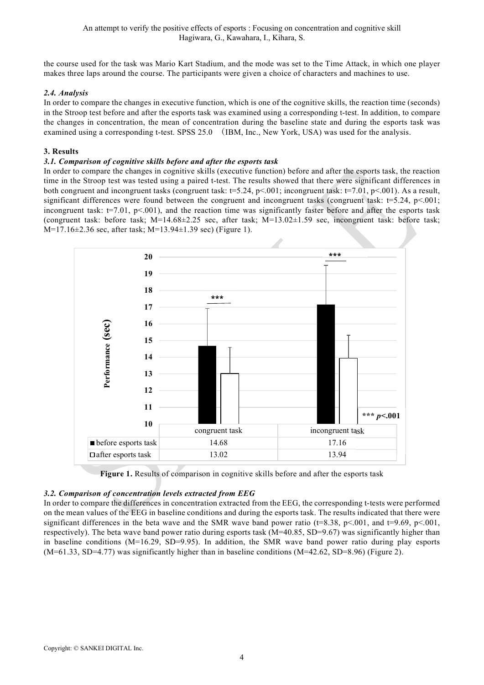the course used for the task was Mario Kart Stadium, and the mode was set to the Time Attack, in which one player makes three laps around the course. The participants were given a choice of characters and machines to use.

# 2.4. Analysis

In order to compare the changes in executive function, which is one of the cognitive skills, the reaction time (seconds) in the Stroop test before and after the esports task was examined using a corresponding t-test. In addition, to compare the changes in concentration, the mean of concentration during the baseline state and during the esports task was examined using a corresponding t-test. SPSS 25.0 (IBM, Inc., New York, USA) was used for the analysis.

# 3. Results

#### 3.1. Comparison of cognitive skills before and after the esports task

In order to compare the changes in cognitive skills (executive function) before and after the esports task, the reaction time in the Stroop test was tested using a paired t-test. The results showed that there were significant differences in both congruent and incongruent tasks (congruent task: t=5.24, p<.001; incongruent task: t=7.01, p<.001). As a result, significant differences were found between the congruent and incongruent tasks (congruent task: t=5.24, p<.001; incongruent task:  $t=7.01$ ,  $p<001$ ), and the reaction time was significantly faster before and after the esports task (congruent task: before task; M=14.68±2.25 sec, after task; M=13.02±1.59 sec, incongruent task: before task; M=17.16±2.36 sec, after task; M=13.94±1.39 sec) (Figure 1).



Figure 1. Results of comparison in cognitive skills before and after the esports task

#### 3.2. Comparison of concentration levels extracted from EEG

In order to compare the differences in concentration extracted from the EEG, the corresponding t-tests were performed on the mean values of the EEG in baseline conditions and during the esports task. The results indicated that there were significant differences in the beta wave and the SMR wave band power ratio ( $t=8.38$ ,  $p<.001$ , and  $t=9.69$ ,  $p<.001$ , respectively). The beta wave band power ratio during esports task (M=40.85, SD=9.67) was significantly higher than in baseline conditions ( $M=16.29$ ,  $SD=9.95$ ). In addition, the SMR wave band power ratio during play esports (M=61.33, SD=4.77) was significantly higher than in baseline conditions (M=42.62, SD=8.96) (Figure 2).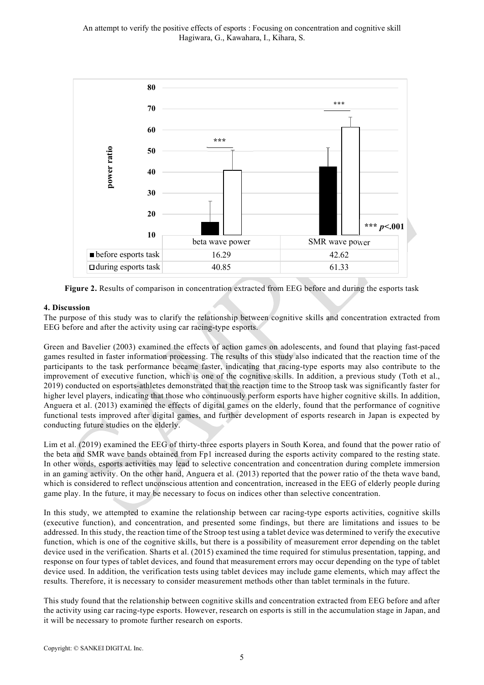

Figure 2. Results of comparison in concentration extracted from EEG before and during the esports task

# 4. Discussion

The purpose of this study was to clarify the relationship between cognitive skills and concentration extracted from EEG before and after the activity using car racing-type esports.

Green and Bavelier (2003) examined the effects of action games on adolescents, and found that playing fast-paced games resulted in faster information processing. The results of this study also indicated that the reaction time of the participants to the task performance became faster, indicating that racing-type esports may also contribute to the improvement of executive function, which is one of the cognitive skills. In addition, a previous study (Toth et al., 2019) conducted on esports-athletes demonstrated that the reaction time to the Stroop task was significantly faster for higher level players, indicating that those who continuously perform esports have higher cognitive skills. In addition, Anguera et al. (2013) examined the effects of digital games on the elderly, found that the performance of cognitive functional tests improved after digital games, and further development of esports research in Japan is expected by conducting future studies on the elderly.

Lim et al. (2019) examined the EEG of thirty-three esports players in South Korea, and found that the power ratio of the beta and SMR wave bands obtained from Fp1 increased during the esports activity compared to the resting state. In other words, esports activities may lead to selective concentration and concentration during complete immersion in an gaming activity. On the other hand, Anguera et al. (2013) reported that the power ratio of the theta wave band, which is considered to reflect unconscious attention and concentration, increased in the EEG of elderly people during game play. In the future, it may be necessary to focus on indices other than selective concentration.

In this study, we attempted to examine the relationship between car racing-type esports activities, cognitive skills (executive function), and concentration, and presented some findings, but there are limitations and issues to be addressed. In this study, the reaction time of the Stroop test using a tablet device was determined to verify the executive function, which is one of the cognitive skills, but there is a possibility of measurement error depending on the tablet device used in the verification. Sharts et al. (2015) examined the time required for stimulus presentation, tapping, and response on four types of tablet devices, and found that measurement errors may occur depending on the type of tablet device used. In addition, the verification tests using tablet devices may include game elements, which may affect the results. Therefore, it is necessary to consider measurement methods other than tablet terminals in the future.

This study found that the relationship between cognitive skills and concentration extracted from EEG before and after the activity using car racing-type esports. However, research on esports is still in the accumulation stage in Japan, and it will be necessary to promote further research on esports.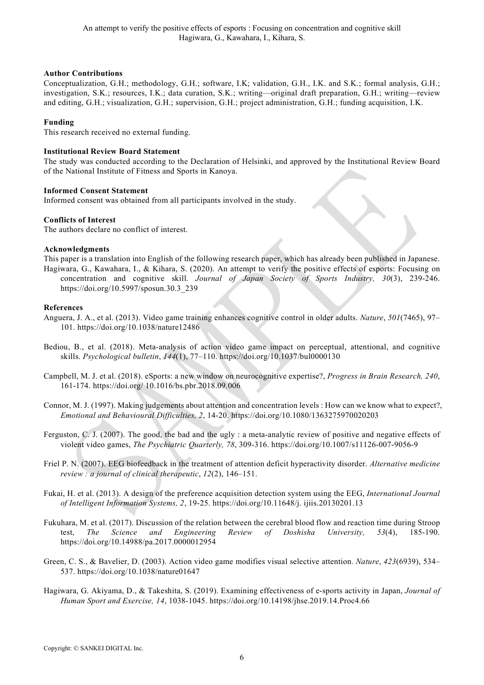#### Author Contributions

Conceptualization, G.H.; methodology, G.H.; software, I.K; validation, G.H., I.K. and S.K.; formal analysis, G.H.; investigation, S.K.; resources, I.K.; data curation, S.K.; writing—original draft preparation, G.H.; writing—review and editing, G.H.; visualization, G.H.; supervision, G.H.; project administration, G.H.; funding acquisition, I.K.

#### Funding

This research received no external funding.

#### Institutional Review Board Statement

The study was conducted according to the Declaration of Helsinki, and approved by the Institutional Review Board of the National Institute of Fitness and Sports in Kanoya.

# Informed Consent Statement

Informed consent was obtained from all participants involved in the study.

#### Conflicts of Interest

The authors declare no conflict of interest.

#### Acknowledgments

This paper is a translation into English of the following research paper, which has already been published in Japanese. Hagiwara, G., Kawahara, I., & Kihara, S. (2020). An attempt to verify the positive effects of esports: Focusing on concentration and cognitive skill. Journal of Japan Society of Sports Industry, 30(3), 239-246. https://doi.org/10.5997/sposun.30.3\_239

#### References

- Anguera, J. A., et al. (2013). Video game training enhances cognitive control in older adults. Nature, 501(7465), 97– 101. https://doi.org/10.1038/nature12486
- Bediou, B., et al. (2018). Meta-analysis of action video game impact on perceptual, attentional, and cognitive skills. Psychological bulletin, 144(1), 77–110. https://doi.org/10.1037/bul0000130
- Campbell, M. J. et al. (2018). eSports: a new window on neurocognitive expertise?, Progress in Brain Research, 240, 161-174. https://doi.org/ 10.1016/bs.pbr.2018.09.006
- Connor, M. J. (1997). Making judgements about attention and concentration levels : How can we know what to expect?, Emotional and Behavioural Difficulties, 2, 14-20. https://doi.org/10.1080/1363275970020203
- Ferguston, C. J. (2007). The good, the bad and the ugly : a meta-analytic review of positive and negative effects of violent video games, The Psychiatric Quarterly, 78, 309-316. https://doi.org/10.1007/s11126-007-9056-9
- Friel P. N. (2007). EEG biofeedback in the treatment of attention deficit hyperactivity disorder. Alternative medicine review : a journal of clinical therapeutic, 12(2), 146–151.
- Fukai, H. et al. (2013). A design of the preference acquisition detection system using the EEG, International Journal of Intelligent Information Systems, 2, 19-25. https://doi.org/10.11648/j. ijiis.20130201.13
- Fukuhara, M. et al. (2017). Discussion of the relation between the cerebral blood flow and reaction time during Stroop test, The Science and Engineering Review of Doshisha University, 53(4), 185-190. https://doi.org/10.14988/pa.2017.0000012954
- Green, C. S., & Bavelier, D. (2003). Action video game modifies visual selective attention. Nature, 423(6939), 534– 537. https://doi.org/10.1038/nature01647
- Hagiwara, G. Akiyama, D., & Takeshita, S. (2019). Examining effectiveness of e-sports activity in Japan, Journal of Human Sport and Exercise, 14, 1038-1045. https://doi.org/10.14198/jhse.2019.14.Proc4.66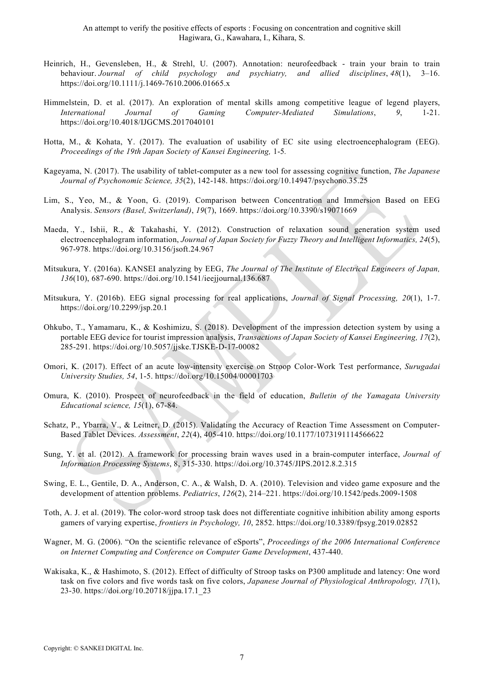- Heinrich, H., Gevensleben, H., & Strehl, U. (2007). Annotation: neurofeedback train your brain to train behaviour. Journal of child psychology and psychiatry, and allied disciplines, 48(1), 3–16. https://doi.org/10.1111/j.1469-7610.2006.01665.x
- Himmelstein, D. et al. (2017). An exploration of mental skills among competitive league of legend players, International Journal of Gaming Computer-Mediated Simulations, 9, 1-21. https://doi.org/10.4018/IJGCMS.2017040101
- Hotta, M., & Kohata, Y. (2017). The evaluation of usability of EC site using electroencephalogram (EEG). Proceedings of the 19th Japan Society of Kansei Engineering, 1-5.
- Kageyama, N. (2017). The usability of tablet-computer as a new tool for assessing cognitive function, The Japanese Journal of Psychonomic Science, 35(2), 142-148. https://doi.org/10.14947/psychono.35.25
- Lim, S., Yeo, M., & Yoon, G. (2019). Comparison between Concentration and Immersion Based on EEG Analysis. Sensors (Basel, Switzerland), 19(7), 1669. https://doi.org/10.3390/s19071669
- Maeda, Y., Ishii, R., & Takahashi, Y. (2012). Construction of relaxation sound generation system used electroencephalogram information, Journal of Japan Society for Fuzzy Theory and Intelligent Informatics, 24(5), 967-978. https://doi.org/10.3156/jsoft.24.967
- Mitsukura, Y. (2016a). KANSEI analyzing by EEG, The Journal of The Institute of Electrical Engineers of Japan, 136(10), 687-690. https://doi.org/10.1541/ieejjournal.136.687
- Mitsukura, Y. (2016b). EEG signal processing for real applications, *Journal of Signal Processing*, 20(1), 1-7. https://doi.org/10.2299/jsp.20.1
- Ohkubo, T., Yamamaru, K., & Koshimizu, S. (2018). Development of the impression detection system by using a portable EEG device for tourist impression analysis, Transactions of Japan Society of Kansei Engineering, 17(2), 285-291. https://doi.org/10.5057/jjske.TJSKE-D-17-00082
- Omori, K. (2017). Effect of an acute low-intensity exercise on Stroop Color-Work Test performance, Surugadai University Studies, 54, 1-5. https://doi.org/10.15004/00001703
- Omura, K. (2010). Prospect of neurofeedback in the field of education, Bulletin of the Yamagata University Educational science, 15(1), 67-84.
- Schatz, P., Ybarra, V., & Leitner, D. (2015). Validating the Accuracy of Reaction Time Assessment on Computer-Based Tablet Devices. Assessment, 22(4), 405-410. https://doi.org/10.1177/1073191114566622
- Sung, Y. et al. (2012). A framework for processing brain waves used in a brain-computer interface, Journal of Information Processing Systems, 8, 315-330. https://doi.org/10.3745/JIPS.2012.8.2.315
- Swing, E. L., Gentile, D. A., Anderson, C. A., & Walsh, D. A. (2010). Television and video game exposure and the development of attention problems. Pediatrics, 126(2), 214–221. https://doi.org/10.1542/peds.2009-1508
- Toth, A. J. et al. (2019). The color-word stroop task does not differentiate cognitive inhibition ability among esports gamers of varying expertise, frontiers in Psychology, 10, 2852. https://doi.org/10.3389/fpsyg.2019.02852
- Wagner, M. G. (2006). "On the scientific relevance of eSports", Proceedings of the 2006 International Conference on Internet Computing and Conference on Computer Game Development, 437-440.
- Wakisaka, K., & Hashimoto, S. (2012). Effect of difficulty of Stroop tasks on P300 amplitude and latency: One word task on five colors and five words task on five colors, Japanese Journal of Physiological Anthropology, 17(1), 23-30. https://doi.org/10.20718/jjpa.17.1\_23